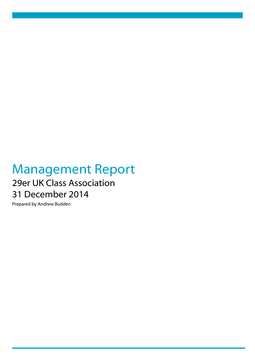## Management Report 29er UK Class Association 31 December 2014

Prepared by Andrew Budden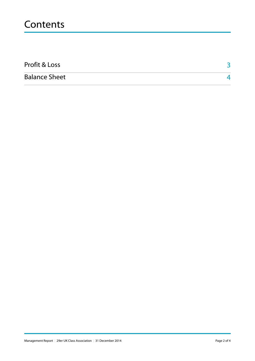## **Contents**

| Profit & Loss        |  |
|----------------------|--|
| <b>Balance Sheet</b> |  |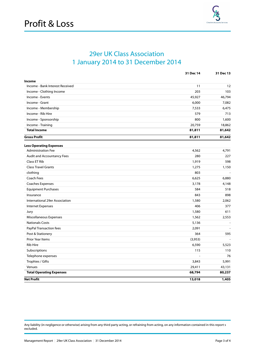

## 29er UK Class Association 1 January 2014 to 31 December 2014

|                                 | 31 Dec 14 | 31 Dec 13 |
|---------------------------------|-----------|-----------|
| Income                          |           |           |
| Income - Bank Interest Received | 11        | 12        |
| Income - Clothing Income        | 203       | 103       |
| Income - Events                 | 45,927    | 46,794    |
| Income - Grant                  | 6,000     | 7,082     |
| Income - Membership             | 7,533     | 6,475     |
| Income - Rib Hire               | 579       | 713       |
| Income - Sponsorship            | 800       | 1,600     |
| Income - Training               | 20,759    | 18,862    |
| <b>Total Income</b>             | 81,811    | 81,642    |
| <b>Gross Profit</b>             | 81,811    | 81,642    |
| <b>Less Operating Expenses</b>  |           |           |
| <b>Administration Fee</b>       | 4,562     | 4,791     |
| Audit and Accountancy Fees      | 280       | 227       |
| Class ET Rib                    | 1,919     | 598       |
| <b>Class Travel Grants</b>      | 1,275     | 1,150     |
| clothing                        | 803       |           |
| Coach Fees                      | 6,625     | 6,880     |
| Coaches Expenses                | 3,178     | 4,148     |
| <b>Equipment Purchases</b>      | 584       | 518       |
| Insurance                       | 843       | 898       |
| International 29er Association  | 1,580     | 2,062     |
| Internet Expenses               | 406       | 377       |
| Jury                            | 1,580     | 611       |
| Miscellaneous Expenses          | 1,562     | 2,553     |
| <b>Nationals Costs</b>          | 5,136     | $\sim$    |
| PayPal Transaction fees         | 2,091     | $\sim$    |
| Post & Stationery               | 364       | 595       |
| <b>Prior Year Items</b>         | (3,953)   |           |
| <b>Rib Hire</b>                 | 6,590     | 5,523     |
| Subscriptions                   | 115       | 110       |
| Telephone expenses              | ÷,        | 76        |
| Trophies / Gifts                | 3,843     | 5,991     |
| Venues                          | 29,411    | 43,131    |
| <b>Total Operating Expenses</b> | 68,794    | 80,237    |
| <b>Net Profit</b>               | 13,018    | 1,405     |

Any liability (in negligence or otherwise) arising from any third party acting, or refraining from acting, on any information contained in this report s excluded.